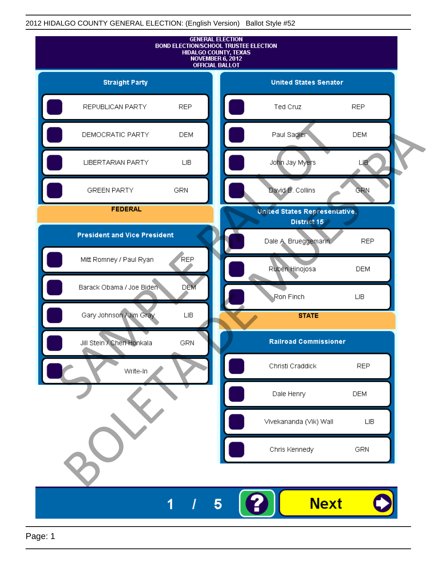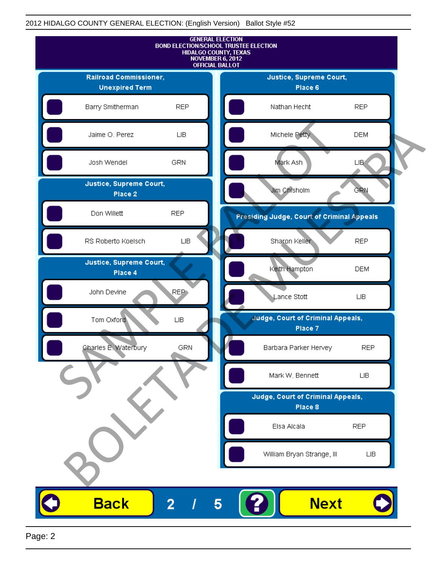

Page: 2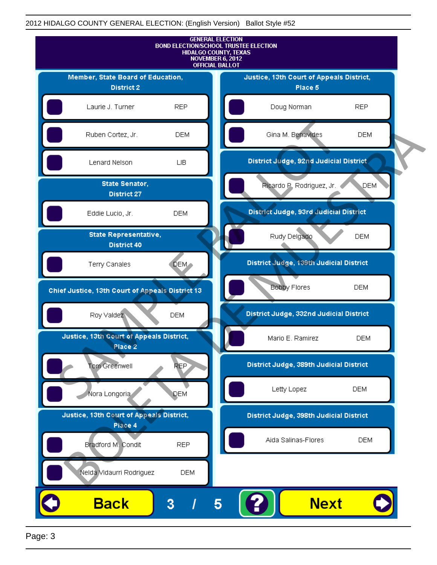

Page: 3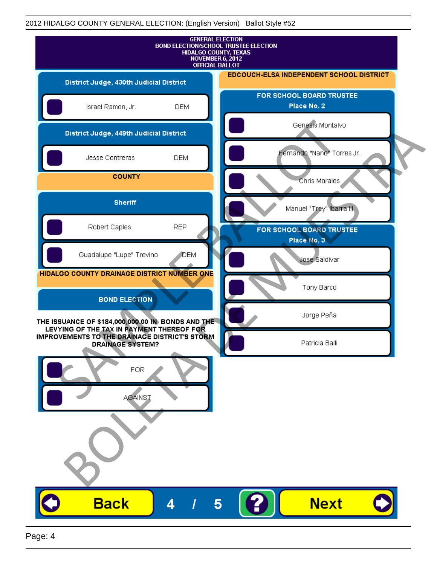| <b>GENERAL ELECTION</b><br><b>BOND ELECTION/SCHOOL TRUSTEE ELECTION</b><br>HIDALGO COUNTY, TEXAS<br>NOVEMBER 6, 2012<br><b>OFFICIAL BALLOT</b>  |                                                 |
|-------------------------------------------------------------------------------------------------------------------------------------------------|-------------------------------------------------|
| District Judge, 430th Judicial District                                                                                                         | <b>EDCOUCH-ELSA INDEPENDENT SCHOOL DISTRICT</b> |
| Israel Ramon, Jr.<br><b>DEM</b>                                                                                                                 | FOR SCHOOL BOARD TRUSTEE<br>Place No. 2         |
| District Judge, 449th Judicial District                                                                                                         | Genesis Montalvo                                |
| <b>DEM</b><br>Jesse Contreras                                                                                                                   | Fernando "Nano" Torres Jr.                      |
| <b>COUNTY</b>                                                                                                                                   | Chris Morales                                   |
| <b>Sheriff</b>                                                                                                                                  | Manuel "Trey" Ibarra III.                       |
| Robert Caples<br><b>REP</b>                                                                                                                     | FOR SCHOOL BOARD TRUSTEE<br>Place No. 3         |
| Guadalupe "Lupe" Trevino<br>DEM                                                                                                                 | Jose Saldivar                                   |
| HIDALGO COUNTY DRAINAGE DISTRICT NUMBER ONE                                                                                                     | Tony Barco                                      |
| <b>BOND ELECTION</b>                                                                                                                            | Jorge Peña                                      |
| THE ISSUANCE OF \$184,000,000.00 IN BONDS AND THE<br>LEVYING OF THE TAX IN PAYMENT THEREOF FOR<br>IMPROVEMENTS TO THE DRAINAGE DISTRICT'S STORM | Patricia Balli                                  |
| <b>DRAINAGE SYSTEM?</b><br><b>FOR</b><br><b>AGAINST</b>                                                                                         |                                                 |
| <b>Back</b><br>4                                                                                                                                | <b>Next</b><br>5                                |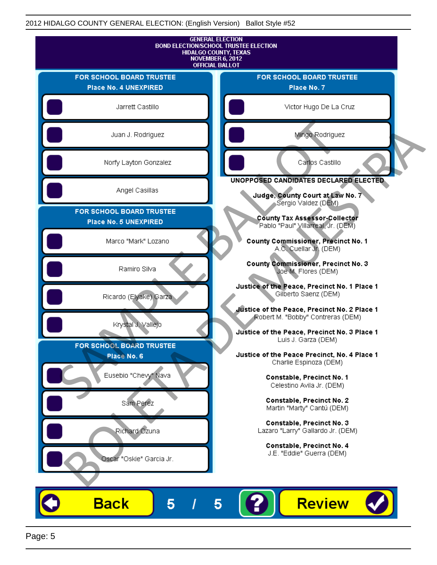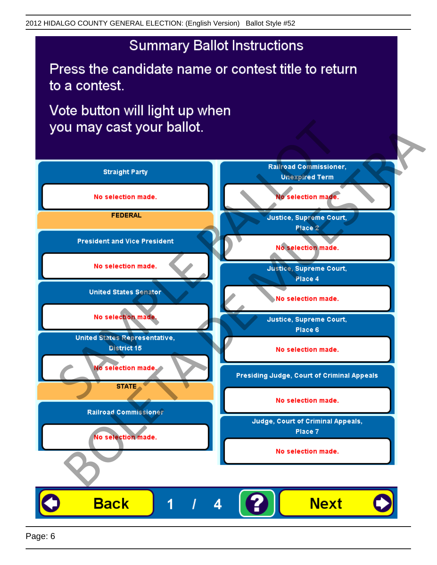Press the candidate name or contest title to return to a contest.

Vote button will light up when

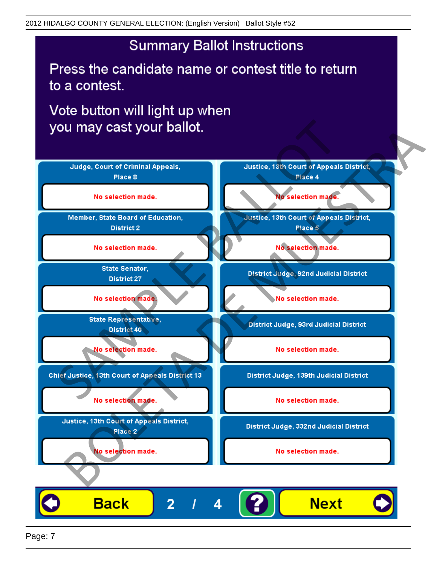Press the candidate name or contest title to return to a contest.

Vote button will light up when



Page: 7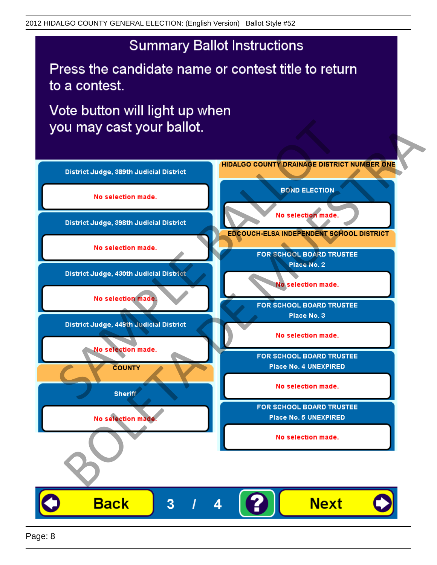Press the candidate name or contest title to return to a contest.

Vote button will light up when